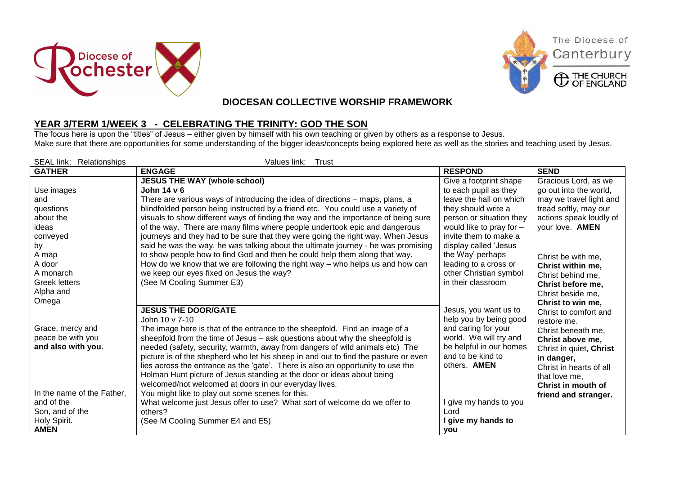





The Diocese of

## **DIOCESAN COLLECTIVE WORSHIP FRAMEWORK**

## **YEAR 3/TERM 1/WEEK 3 - CELEBRATING THE TRINITY: GOD THE SON**

The focus here is upon the "titles" of Jesus – either given by himself with his own teaching or given by others as a response to Jesus. Make sure that there are opportunities for some understanding of the bigger ideas/concepts being explored here as well as the stories and teaching used by Jesus.

| <b>SEAL link:</b><br>Relationships | Values link: Trust                                                                                                                                        |                                              |                         |
|------------------------------------|-----------------------------------------------------------------------------------------------------------------------------------------------------------|----------------------------------------------|-------------------------|
| <b>GATHER</b>                      | <b>ENGAGE</b>                                                                                                                                             | <b>RESPOND</b>                               | <b>SEND</b>             |
|                                    | <b>JESUS THE WAY (whole school)</b>                                                                                                                       | Give a footprint shape                       | Gracious Lord, as we    |
| Use images                         | John 14 v 6                                                                                                                                               | to each pupil as they                        | go out into the world,  |
| and                                | There are various ways of introducing the idea of directions – maps, plans, a                                                                             | leave the hall on which                      | may we travel light and |
| questions                          | blindfolded person being instructed by a friend etc. You could use a variety of                                                                           | they should write a                          | tread softly, may our   |
| about the                          | visuals to show different ways of finding the way and the importance of being sure                                                                        | person or situation they                     | actions speak loudly of |
| ideas                              | of the way. There are many films where people undertook epic and dangerous                                                                                | would like to pray for -                     | your love. AMEN         |
| conveyed                           | journeys and they had to be sure that they were going the right way. When Jesus                                                                           | invite them to make a                        |                         |
| by                                 | said he was the way, he was talking about the ultimate journey - he was promising                                                                         | display called 'Jesus                        |                         |
| A map                              | to show people how to find God and then he could help them along that way.                                                                                | the Way' perhaps                             | Christ be with me.      |
| A door                             | How do we know that we are following the right way $-$ who helps us and how can                                                                           | leading to a cross or                        | Christ within me,       |
| A monarch                          | we keep our eyes fixed on Jesus the way?                                                                                                                  | other Christian symbol                       | Christ behind me,       |
| <b>Greek letters</b>               | (See M Cooling Summer E3)                                                                                                                                 | in their classroom                           | Christ before me,       |
| Alpha and                          |                                                                                                                                                           |                                              | Christ beside me,       |
| Omega                              |                                                                                                                                                           |                                              | Christ to win me,       |
|                                    | <b>JESUS THE DOOR/GATE</b>                                                                                                                                | Jesus, you want us to                        | Christ to comfort and   |
|                                    | John 10 v 7-10                                                                                                                                            | help you by being good                       | restore me.             |
| Grace, mercy and                   | The image here is that of the entrance to the sheepfold. Find an image of a                                                                               | and caring for your                          | Christ beneath me,      |
| peace be with you                  | sheepfold from the time of Jesus - ask questions about why the sheepfold is                                                                               | world. We will try and                       | Christ above me,        |
| and also with you.                 | needed (safety, security, warmth, away from dangers of wild animals etc) The                                                                              | be helpful in our homes<br>and to be kind to | Christ in quiet, Christ |
|                                    | picture is of the shepherd who let his sheep in and out to find the pasture or even                                                                       | others. <b>AMEN</b>                          | in danger,              |
|                                    | lies across the entrance as the 'gate'. There is also an opportunity to use the<br>Holman Hunt picture of Jesus standing at the door or ideas about being |                                              | Christ in hearts of all |
|                                    | welcomed/not welcomed at doors in our everyday lives.                                                                                                     |                                              | that love me,           |
| In the name of the Father,         | You might like to play out some scenes for this.                                                                                                          |                                              | Christ in mouth of      |
| and of the                         | What welcome just Jesus offer to use? What sort of welcome do we offer to                                                                                 | I give my hands to you                       | friend and stranger.    |
| Son, and of the                    | others?                                                                                                                                                   | Lord                                         |                         |
| Holy Spirit.                       | (See M Cooling Summer E4 and E5)                                                                                                                          | I give my hands to                           |                         |
| <b>AMEN</b>                        |                                                                                                                                                           | you                                          |                         |